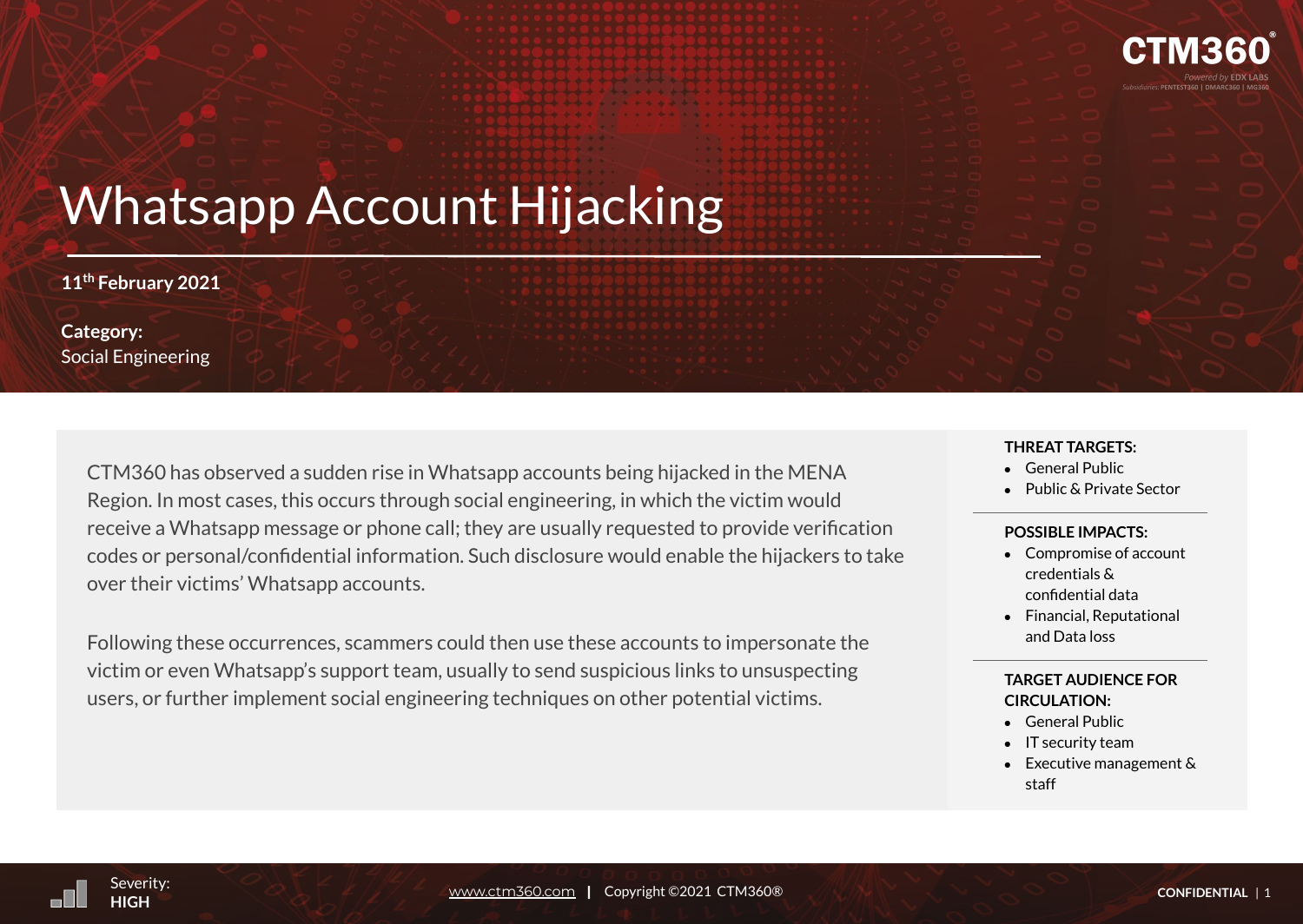

# Whatsapp Account Hijacking

**11th February 2021**

**Category:**  Social Engineering

> CTM360 has observed a sudden rise in Whatsapp accounts being hijacked in the MENA Region. In most cases, this occurs through social engineering, in which the victim would receive a Whatsapp message or phone call; they are usually requested to provide verification codes or personal/confidential information. Such disclosure would enable the hijackers to take over their victims' Whatsapp accounts.

Following these occurrences, scammers could then use these accounts to impersonate the victim or even Whatsapp's support team, usually to send suspicious links to unsuspecting users, or further implement social engineering techniques on other potential victims.

#### **THREAT TARGETS:**

- **●** General Public
- **●** Public & Private Sector

### **POSSIBLE IMPACTS:**

- Compromise of account credentials & confidential data
- Financial, Reputational and Data loss

## **TARGET AUDIENCE FOR CIRCULATION:**

- General Public
- IT security team
- $\bullet$  Executive management & staff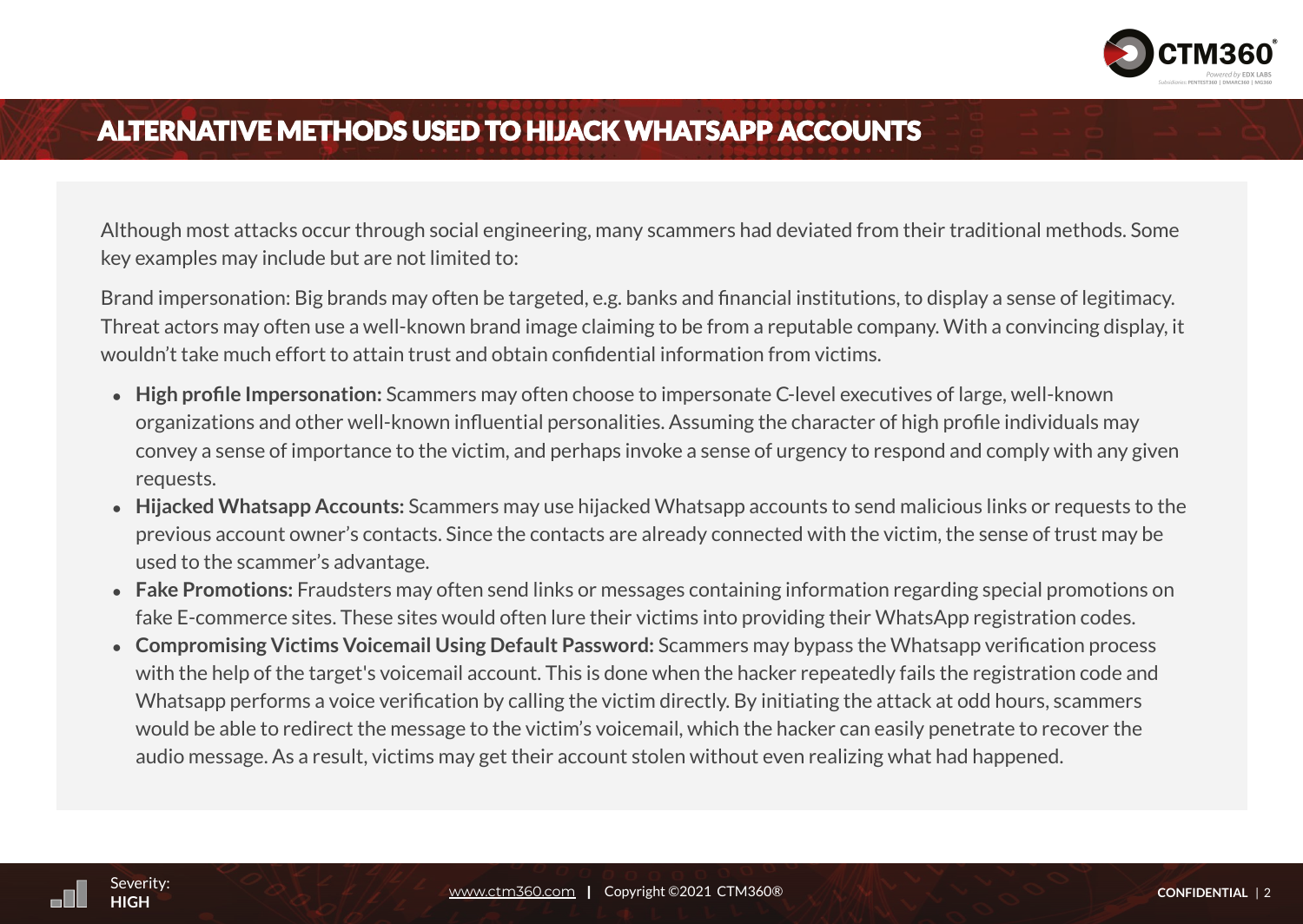

## **ALTERNATIVE METHODS USED TO HIJACK WHATSAPP ACCOUNTS**

Although most attacks occur through social engineering, many scammers had deviated from their traditional methods. Some key examples may include but are not limited to:

Brand impersonation: Big brands may often be targeted, e.g. banks and financial institutions, to display a sense of legitimacy. Threat actors may often use a well-known brand image claiming to be from a reputable company. With a convincing display, it wouldn't take much effort to attain trust and obtain confidential information from victims.

- **High profile Impersonation:** Scammers may often choose to impersonate C-level executives of large, well-known organizations and other well-known influential personalities. Assuming the character of high profile individuals may convey a sense of importance to the victim, and perhaps invoke a sense of urgency to respond and comply with any given requests.
- **Hijacked Whatsapp Accounts:** Scammers may use hijacked Whatsapp accounts to send malicious links or requests to the previous account owner's contacts. Since the contacts are already connected with the victim, the sense of trust may be used to the scammer's advantage.
- **Fake Promotions:** Fraudsters may often send links or messages containing information regarding special promotions on fake E-commerce sites. These sites would often lure their victims into providing their WhatsApp registration codes.
- se<br>Severing a se would be able to redirect the message to the victim's voicemail, which the hacker can easily penetrate to recover the ● **Compromising Victims Voicemail Using Default Password:** Scammers may bypass the Whatsapp verification process with the help of the target's voicemail account. This is done when the hacker repeatedly fails the registration code and Whatsapp performs a voice verification by calling the victim directly. By initiating the attack at odd hours, scammers audio message. As a result, victims may get their account stolen without even realizing what had happened.